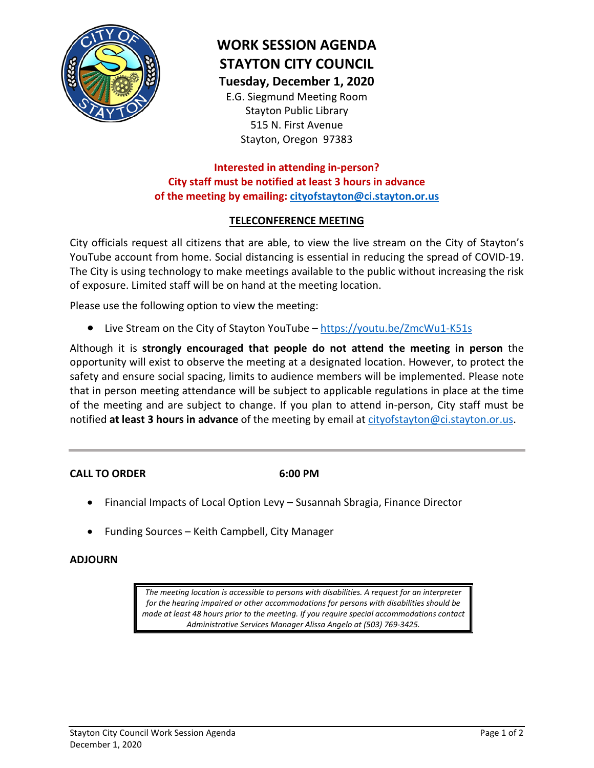

# **WORK SESSION AGENDA STAYTON CITY COUNCIL Tuesday, December 1, 2020**

E.G. Siegmund Meeting Room Stayton Public Library 515 N. First Avenue Stayton, Oregon 97383

## **Interested in attending in-person? City staff must be notified at least 3 hours in advance of the meeting by emailing: [cityofstayton@ci.stayton.or.us](mailto:cityofstayton@ci.stayton.or.us)**

## **TELECONFERENCE MEETING**

City officials request all citizens that are able, to view the live stream on the City of Stayton's YouTube account from home. Social distancing is essential in reducing the spread of COVID-19. The City is using technology to make meetings available to the public without increasing the risk of exposure. Limited staff will be on hand at the meeting location.

Please use the following option to view the meeting:

• Live Stream on the City of Stayton YouTube – <https://youtu.be/ZmcWu1-K51s>

Although it is **strongly encouraged that people do not attend the meeting in person** the opportunity will exist to observe the meeting at a designated location. However, to protect the safety and ensure social spacing, limits to audience members will be implemented. Please note that in person meeting attendance will be subject to applicable regulations in place at the time of the meeting and are subject to change. If you plan to attend in-person, City staff must be notified **at least 3 hours in advance** of the meeting by email at [cityofstayton@ci.stayton.or.us.](mailto:cityofstayton@ci.stayton.or.us)

#### **CALL TO ORDER 6:00 PM**

- Financial Impacts of Local Option Levy Susannah Sbragia, Finance Director
- Funding Sources Keith Campbell, City Manager

#### **ADJOURN**

*The meeting location is accessible to persons with disabilities. A request for an interpreter for the hearing impaired or other accommodations for persons with disabilities should be made at least 48 hours prior to the meeting. If you require special accommodations contact Administrative Services Manager Alissa Angelo at (503) 769-3425.*